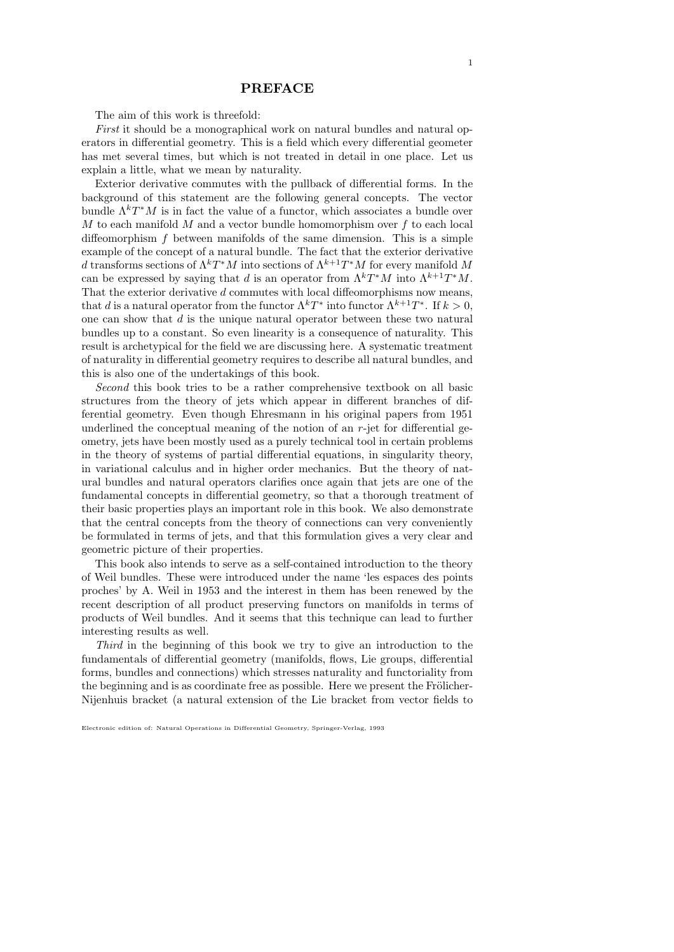## PREFACE

The aim of this work is threefold:

First it should be a monographical work on natural bundles and natural operators in differential geometry. This is a field which every differential geometer has met several times, but which is not treated in detail in one place. Let us explain a little, what we mean by naturality.

Exterior derivative commutes with the pullback of differential forms. In the background of this statement are the following general concepts. The vector bundle  $\Lambda^k T^*M$  is in fact the value of a functor, which associates a bundle over M to each manifold M and a vector bundle homomorphism over f to each local diffeomorphism f between manifolds of the same dimension. This is a simple example of the concept of a natural bundle. The fact that the exterior derivative d transforms sections of  $\Lambda^k T^*M$  into sections of  $\Lambda^{k+1}T^*M$  for every manifold M can be expressed by saying that d is an operator from  $\Lambda^k T^*M$  into  $\Lambda^{k+1}T^*M$ . That the exterior derivative d commutes with local diffeomorphisms now means, that d is a natural operator from the functor  $\Lambda^k T^*$  into functor  $\Lambda^{k+1} T^*$ . If  $k > 0$ , one can show that d is the unique natural operator between these two natural bundles up to a constant. So even linearity is a consequence of naturality. This result is archetypical for the field we are discussing here. A systematic treatment of naturality in differential geometry requires to describe all natural bundles, and this is also one of the undertakings of this book.

Second this book tries to be a rather comprehensive textbook on all basic structures from the theory of jets which appear in different branches of differential geometry. Even though Ehresmann in his original papers from 1951 underlined the conceptual meaning of the notion of an r-jet for differential geometry, jets have been mostly used as a purely technical tool in certain problems in the theory of systems of partial differential equations, in singularity theory, in variational calculus and in higher order mechanics. But the theory of natural bundles and natural operators clarifies once again that jets are one of the fundamental concepts in differential geometry, so that a thorough treatment of their basic properties plays an important role in this book. We also demonstrate that the central concepts from the theory of connections can very conveniently be formulated in terms of jets, and that this formulation gives a very clear and geometric picture of their properties.

This book also intends to serve as a self-contained introduction to the theory of Weil bundles. These were introduced under the name 'les espaces des points proches' by A. Weil in 1953 and the interest in them has been renewed by the recent description of all product preserving functors on manifolds in terms of products of Weil bundles. And it seems that this technique can lead to further interesting results as well.

Third in the beginning of this book we try to give an introduction to the fundamentals of differential geometry (manifolds, flows, Lie groups, differential forms, bundles and connections) which stresses naturality and functoriality from the beginning and is as coordinate free as possible. Here we present the Frölicher-Nijenhuis bracket (a natural extension of the Lie bracket from vector fields to

Electronic edition of: Natural Operations in Differential Geometry, Springer-Verlag, 1993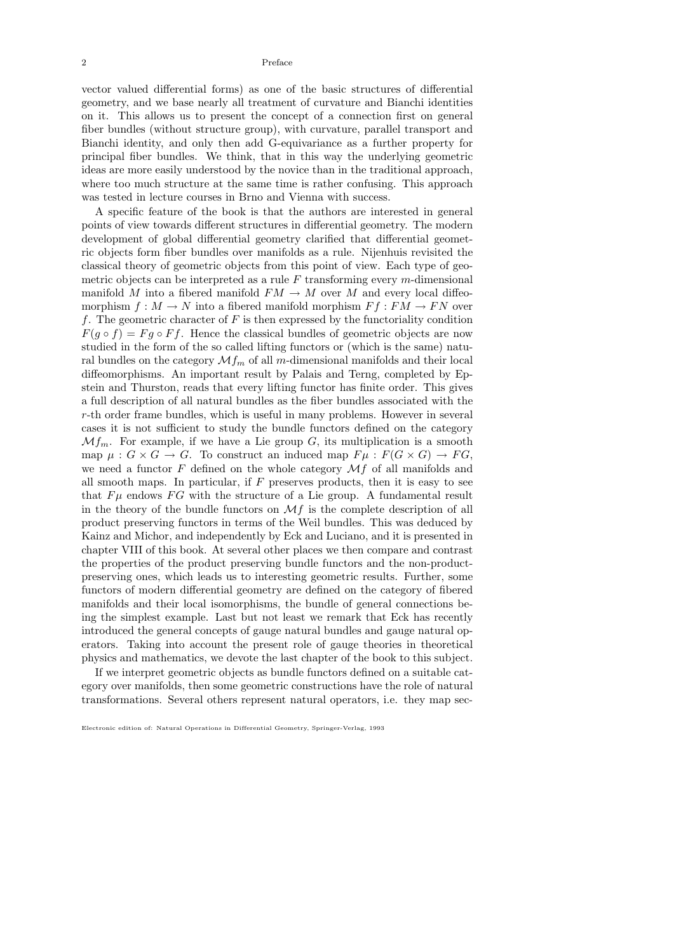2 Preface

vector valued differential forms) as one of the basic structures of differential geometry, and we base nearly all treatment of curvature and Bianchi identities on it. This allows us to present the concept of a connection first on general fiber bundles (without structure group), with curvature, parallel transport and Bianchi identity, and only then add G-equivariance as a further property for principal fiber bundles. We think, that in this way the underlying geometric ideas are more easily understood by the novice than in the traditional approach, where too much structure at the same time is rather confusing. This approach was tested in lecture courses in Brno and Vienna with success.

A specific feature of the book is that the authors are interested in general points of view towards different structures in differential geometry. The modern development of global differential geometry clarified that differential geometric objects form fiber bundles over manifolds as a rule. Nijenhuis revisited the classical theory of geometric objects from this point of view. Each type of geometric objects can be interpreted as a rule  $F$  transforming every m-dimensional manifold M into a fibered manifold  $FM \rightarrow M$  over M and every local diffeomorphism  $f : M \to N$  into a fibered manifold morphism  $Ff : FM \to FN$  over f. The geometric character of  $F$  is then expressed by the functoriality condition  $F(g \circ f) = F g \circ F f$ . Hence the classical bundles of geometric objects are now studied in the form of the so called lifting functors or (which is the same) natural bundles on the category  $\mathcal{M}_{m}$  of all m-dimensional manifolds and their local diffeomorphisms. An important result by Palais and Terng, completed by Epstein and Thurston, reads that every lifting functor has finite order. This gives a full description of all natural bundles as the fiber bundles associated with the r-th order frame bundles, which is useful in many problems. However in several cases it is not sufficient to study the bundle functors defined on the category  $\mathcal{M}_{m}$ . For example, if we have a Lie group G, its multiplication is a smooth map  $\mu : G \times G \to G$ . To construct an induced map  $F\mu : F(G \times G) \to FG$ , we need a functor  $F$  defined on the whole category  $\mathcal{M}f$  of all manifolds and all smooth maps. In particular, if  $F$  preserves products, then it is easy to see that  $F\mu$  endows  $FG$  with the structure of a Lie group. A fundamental result in the theory of the bundle functors on  $\mathcal{M}f$  is the complete description of all product preserving functors in terms of the Weil bundles. This was deduced by Kainz and Michor, and independently by Eck and Luciano, and it is presented in chapter VIII of this book. At several other places we then compare and contrast the properties of the product preserving bundle functors and the non-productpreserving ones, which leads us to interesting geometric results. Further, some functors of modern differential geometry are defined on the category of fibered manifolds and their local isomorphisms, the bundle of general connections being the simplest example. Last but not least we remark that Eck has recently introduced the general concepts of gauge natural bundles and gauge natural operators. Taking into account the present role of gauge theories in theoretical physics and mathematics, we devote the last chapter of the book to this subject.

If we interpret geometric objects as bundle functors defined on a suitable category over manifolds, then some geometric constructions have the role of natural transformations. Several others represent natural operators, i.e. they map sec-

Electronic edition of: Natural Operations in Differential Geometry, Springer-Verlag, 1993